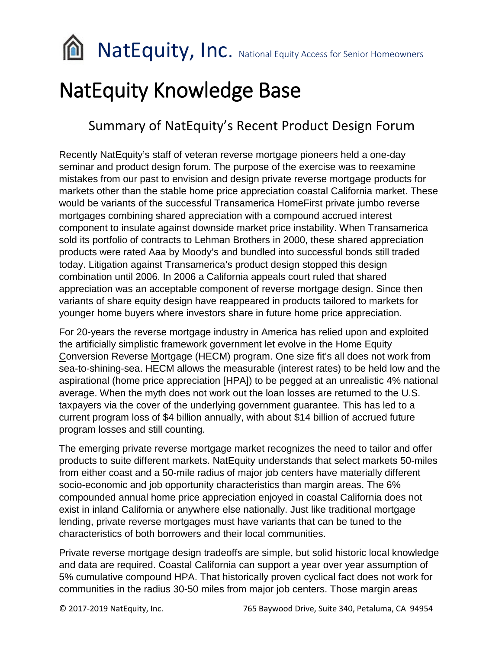**NatEquity, Inc.** National Equity Access for Senior Homeowners

# NatEquity Knowledge Base

# Summary of NatEquity's Recent Product Design Forum

Recently NatEquity's staff of veteran reverse mortgage pioneers held a one-day seminar and product design forum. The purpose of the exercise was to reexamine mistakes from our past to envision and design private reverse mortgage products for markets other than the stable home price appreciation coastal California market. These would be variants of the successful Transamerica HomeFirst private jumbo reverse mortgages combining shared appreciation with a compound accrued interest component to insulate against downside market price instability. When Transamerica sold its portfolio of contracts to Lehman Brothers in 2000, these shared appreciation products were rated Aaa by Moody's and bundled into successful bonds still traded today. Litigation against Transamerica's product design stopped this design combination until 2006. In 2006 a California appeals court ruled that shared appreciation was an acceptable component of reverse mortgage design. Since then variants of share equity design have reappeared in products tailored to markets for younger home buyers where investors share in future home price appreciation.

For 20-years the reverse mortgage industry in America has relied upon and exploited the artificially simplistic framework government let evolve in the Home Equity Conversion Reverse Mortgage (HECM) program. One size fit's all does not work from sea-to-shining-sea. HECM allows the measurable (interest rates) to be held low and the aspirational (home price appreciation [HPA]) to be pegged at an unrealistic 4% national average. When the myth does not work out the loan losses are returned to the U.S. taxpayers via the cover of the underlying government guarantee. This has led to a current program loss of \$4 billion annually, with about \$14 billion of accrued future program losses and still counting.

The emerging private reverse mortgage market recognizes the need to tailor and offer products to suite different markets. NatEquity understands that select markets 50-miles from either coast and a 50-mile radius of major job centers have materially different socio-economic and job opportunity characteristics than margin areas. The 6% compounded annual home price appreciation enjoyed in coastal California does not exist in inland California or anywhere else nationally. Just like traditional mortgage lending, private reverse mortgages must have variants that can be tuned to the characteristics of both borrowers and their local communities.

Private reverse mortgage design tradeoffs are simple, but solid historic local knowledge and data are required. Coastal California can support a year over year assumption of 5% cumulative compound HPA. That historically proven cyclical fact does not work for communities in the radius 30-50 miles from major job centers. Those margin areas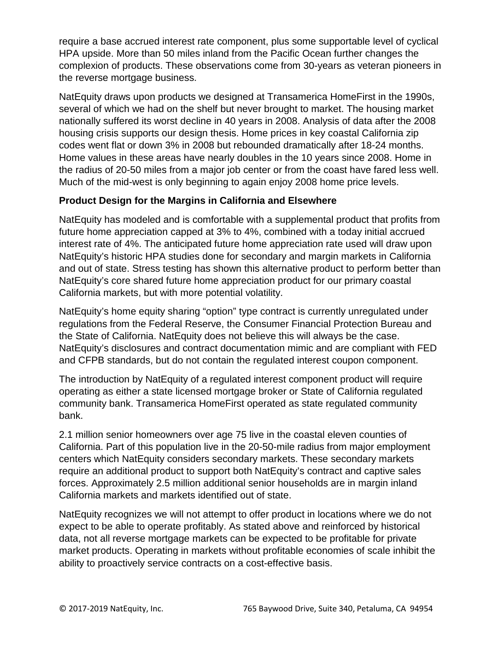require a base accrued interest rate component, plus some supportable level of cyclical HPA upside. More than 50 miles inland from the Pacific Ocean further changes the complexion of products. These observations come from 30-years as veteran pioneers in the reverse mortgage business.

NatEquity draws upon products we designed at Transamerica HomeFirst in the 1990s, several of which we had on the shelf but never brought to market. The housing market nationally suffered its worst decline in 40 years in 2008. Analysis of data after the 2008 housing crisis supports our design thesis. Home prices in key coastal California zip codes went flat or down 3% in 2008 but rebounded dramatically after 18-24 months. Home values in these areas have nearly doubles in the 10 years since 2008. Home in the radius of 20-50 miles from a major job center or from the coast have fared less well. Much of the mid-west is only beginning to again enjoy 2008 home price levels.

# **Product Design for the Margins in California and Elsewhere**

NatEquity has modeled and is comfortable with a supplemental product that profits from future home appreciation capped at 3% to 4%, combined with a today initial accrued interest rate of 4%. The anticipated future home appreciation rate used will draw upon NatEquity's historic HPA studies done for secondary and margin markets in California and out of state. Stress testing has shown this alternative product to perform better than NatEquity's core shared future home appreciation product for our primary coastal California markets, but with more potential volatility.

NatEquity's home equity sharing "option" type contract is currently unregulated under regulations from the Federal Reserve, the Consumer Financial Protection Bureau and the State of California. NatEquity does not believe this will always be the case. NatEquity's disclosures and contract documentation mimic and are compliant with FED and CFPB standards, but do not contain the regulated interest coupon component.

The introduction by NatEquity of a regulated interest component product will require operating as either a state licensed mortgage broker or State of California regulated community bank. Transamerica HomeFirst operated as state regulated community bank.

2.1 million senior homeowners over age 75 live in the coastal eleven counties of California. Part of this population live in the 20-50-mile radius from major employment centers which NatEquity considers secondary markets. These secondary markets require an additional product to support both NatEquity's contract and captive sales forces. Approximately 2.5 million additional senior households are in margin inland California markets and markets identified out of state.

NatEquity recognizes we will not attempt to offer product in locations where we do not expect to be able to operate profitably. As stated above and reinforced by historical data, not all reverse mortgage markets can be expected to be profitable for private market products. Operating in markets without profitable economies of scale inhibit the ability to proactively service contracts on a cost-effective basis.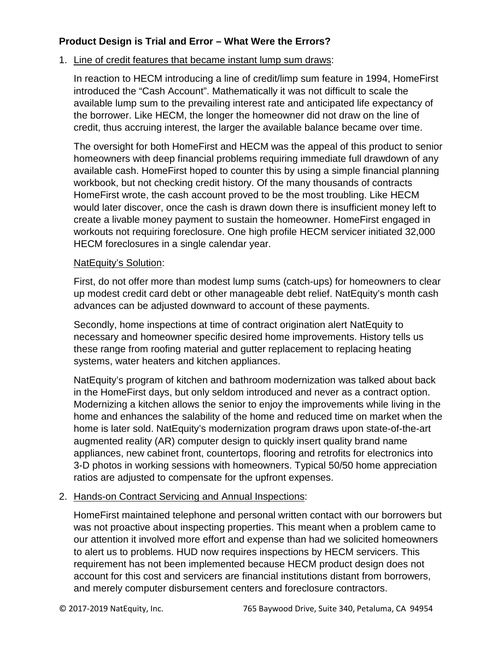## **Product Design is Trial and Error – What Were the Errors?**

### 1. Line of credit features that became instant lump sum draws:

In reaction to HECM introducing a line of credit/limp sum feature in 1994, HomeFirst introduced the "Cash Account". Mathematically it was not difficult to scale the available lump sum to the prevailing interest rate and anticipated life expectancy of the borrower. Like HECM, the longer the homeowner did not draw on the line of credit, thus accruing interest, the larger the available balance became over time.

The oversight for both HomeFirst and HECM was the appeal of this product to senior homeowners with deep financial problems requiring immediate full drawdown of any available cash. HomeFirst hoped to counter this by using a simple financial planning workbook, but not checking credit history. Of the many thousands of contracts HomeFirst wrote, the cash account proved to be the most troubling. Like HECM would later discover, once the cash is drawn down there is insufficient money left to create a livable money payment to sustain the homeowner. HomeFirst engaged in workouts not requiring foreclosure. One high profile HECM servicer initiated 32,000 HECM foreclosures in a single calendar year.

#### NatEquity's Solution:

First, do not offer more than modest lump sums (catch-ups) for homeowners to clear up modest credit card debt or other manageable debt relief. NatEquity's month cash advances can be adjusted downward to account of these payments.

Secondly, home inspections at time of contract origination alert NatEquity to necessary and homeowner specific desired home improvements. History tells us these range from roofing material and gutter replacement to replacing heating systems, water heaters and kitchen appliances.

NatEquity's program of kitchen and bathroom modernization was talked about back in the HomeFirst days, but only seldom introduced and never as a contract option. Modernizing a kitchen allows the senior to enjoy the improvements while living in the home and enhances the salability of the home and reduced time on market when the home is later sold. NatEquity's modernization program draws upon state-of-the-art augmented reality (AR) computer design to quickly insert quality brand name appliances, new cabinet front, countertops, flooring and retrofits for electronics into 3-D photos in working sessions with homeowners. Typical 50/50 home appreciation ratios are adjusted to compensate for the upfront expenses.

#### 2. Hands-on Contract Servicing and Annual Inspections:

HomeFirst maintained telephone and personal written contact with our borrowers but was not proactive about inspecting properties. This meant when a problem came to our attention it involved more effort and expense than had we solicited homeowners to alert us to problems. HUD now requires inspections by HECM servicers. This requirement has not been implemented because HECM product design does not account for this cost and servicers are financial institutions distant from borrowers, and merely computer disbursement centers and foreclosure contractors.